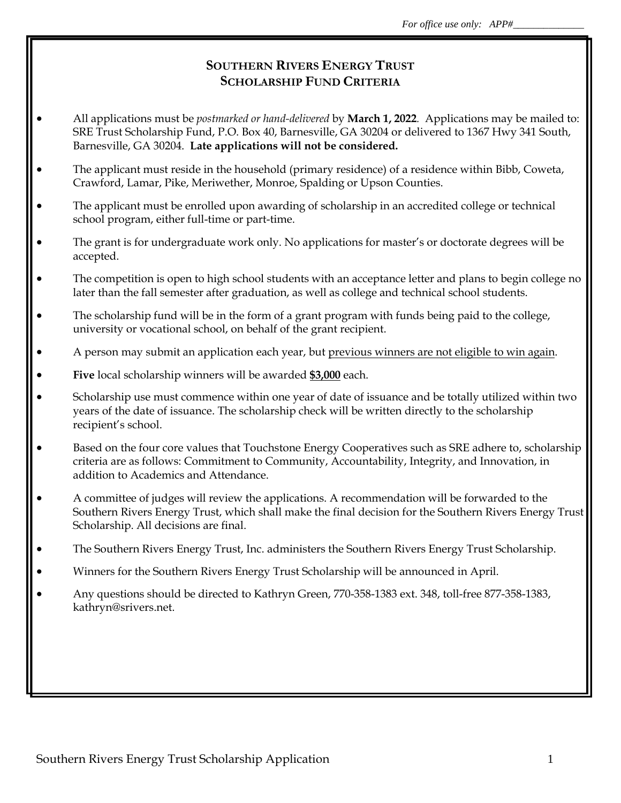## **SOUTHERN RIVERS ENERGY TRUST SCHOLARSHIP FUND CRITERIA**

- All applications must be *postmarked or hand-delivered* by **March 1, 2022***.* Applications may be mailed to: SRE Trust Scholarship Fund, P.O. Box 40, Barnesville, GA 30204 or delivered to 1367 Hwy 341 South, Barnesville, GA 30204. **Late applications will not be considered.**
- The applicant must reside in the household (primary residence) of a residence within Bibb, Coweta, Crawford, Lamar, Pike, Meriwether, Monroe, Spalding or Upson Counties.
- The applicant must be enrolled upon awarding of scholarship in an accredited college or technical school program, either full-time or part-time.
- The grant is for undergraduate work only. No applications for master's or doctorate degrees will be accepted.
- The competition is open to high school students with an acceptance letter and plans to begin college no later than the fall semester after graduation, as well as college and technical school students.
- The scholarship fund will be in the form of a grant program with funds being paid to the college, university or vocational school, on behalf of the grant recipient.
- A person may submit an application each year, but previous winners are not eligible to win again.
- **Five** local scholarship winners will be awarded **\$3,000** each.
- Scholarship use must commence within one year of date of issuance and be totally utilized within two years of the date of issuance. The scholarship check will be written directly to the scholarship recipient's school.
- Based on the four core values that Touchstone Energy Cooperatives such as SRE adhere to, scholarship criteria are as follows: Commitment to Community, Accountability, Integrity, and Innovation, in addition to Academics and Attendance.
- A committee of judges will review the applications. A recommendation will be forwarded to the Southern Rivers Energy Trust, which shall make the final decision for the Southern Rivers Energy Trust Scholarship. All decisions are final.
- The Southern Rivers Energy Trust, Inc. administers the Southern Rivers Energy Trust Scholarship.
- Winners for the Southern Rivers Energy Trust Scholarship will be announced in April.
- Any questions should be directed to Kathryn Green, 770-358-1383 ext. 348, toll-free 877-358-1383, kathryn@srivers.net.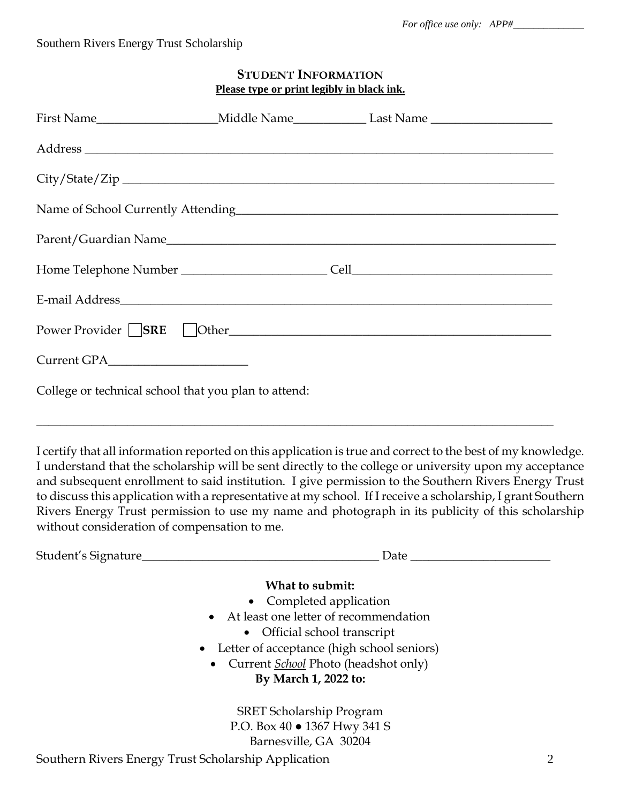## **STUDENT INFORMATION Please type or print legibly in black ink.**

| Name of School Currently Attending                   |  |  |  |
|------------------------------------------------------|--|--|--|
|                                                      |  |  |  |
|                                                      |  |  |  |
| E-mail Address                                       |  |  |  |
|                                                      |  |  |  |
|                                                      |  |  |  |
| College or technical school that you plan to attend: |  |  |  |

I certify that all information reported on this application is true and correct to the best of my knowledge. I understand that the scholarship will be sent directly to the college or university upon my acceptance and subsequent enrollment to said institution. I give permission to the Southern Rivers Energy Trust to discuss this application with a representative at my school. If I receive a scholarship, I grant Southern Rivers Energy Trust permission to use my name and photograph in its publicity of this scholarship without consideration of compensation to me.

\_\_\_\_\_\_\_\_\_\_\_\_\_\_\_\_\_\_\_\_\_\_\_\_\_\_\_\_\_\_\_\_\_\_\_\_\_\_\_\_\_\_\_\_\_\_\_\_\_\_\_\_\_\_\_\_\_\_\_\_\_\_\_\_\_\_\_\_\_\_\_\_\_\_\_\_\_\_\_\_\_\_\_\_\_

| Student's Signature | Date                                          |
|---------------------|-----------------------------------------------|
|                     | What to submit:                               |
|                     | • Completed application                       |
|                     | • At least one letter of recommendation       |
|                     | Official school transcript<br>$\bullet$       |
|                     | • Letter of acceptance (high school seniors)  |
|                     | • Current <i>School Photo</i> (headshot only) |
|                     | By March 1, 2022 to:                          |
|                     | <b>SRET Scholarship Program</b>               |
|                     | P.O. Box 40 • 1367 Hwy 341 S                  |
|                     | Barnesville, GA 30204                         |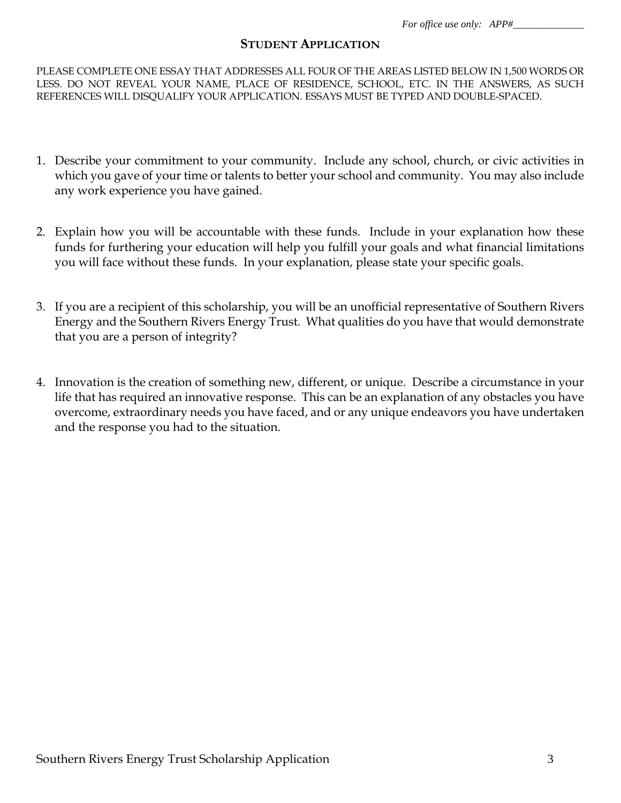## **STUDENT APPLICATION**

PLEASE COMPLETE ONE ESSAY THAT ADDRESSES ALL FOUR OF THE AREAS LISTED BELOW IN 1,500 WORDS OR LESS. DO NOT REVEAL YOUR NAME, PLACE OF RESIDENCE, SCHOOL, ETC. IN THE ANSWERS, AS SUCH REFERENCES WILL DISQUALIFY YOUR APPLICATION. ESSAYS MUST BE TYPED AND DOUBLE-SPACED.

- 1. Describe your commitment to your community. Include any school, church, or civic activities in which you gave of your time or talents to better your school and community. You may also include any work experience you have gained.
- 2. Explain how you will be accountable with these funds. Include in your explanation how these funds for furthering your education will help you fulfill your goals and what financial limitations you will face without these funds. In your explanation, please state your specific goals.
- 3. If you are a recipient of this scholarship, you will be an unofficial representative of Southern Rivers Energy and the Southern Rivers Energy Trust. What qualities do you have that would demonstrate that you are a person of integrity?
- 4. Innovation is the creation of something new, different, or unique. Describe a circumstance in your life that has required an innovative response. This can be an explanation of any obstacles you have overcome, extraordinary needs you have faced, and or any unique endeavors you have undertaken and the response you had to the situation.